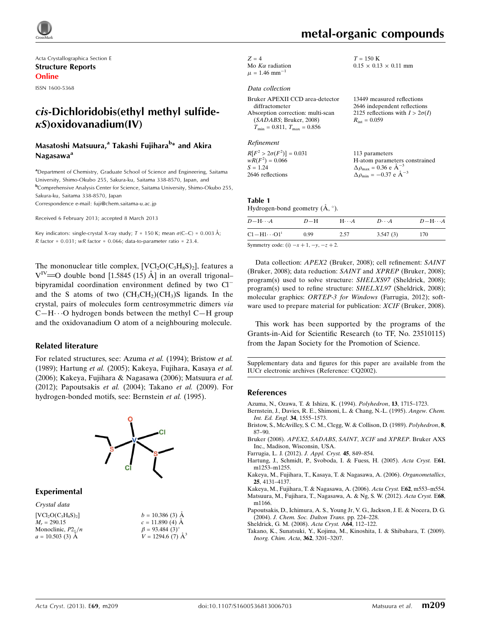

Acta Crystallographica Section E Structure Reports Online

ISSN 1600-5368

# cis-Dichloridobis(ethyl methyl sulfide- $\kappa$ S)oxidovanadium(IV)

## Masatoshi Matsuura,<sup>a</sup> Takashi Fujihara<sup>b</sup>\* and Akira Nagasawa<sup>a</sup>

<sup>a</sup>Department of Chemistry, Graduate School of Science and Engineering, Saitama University, Shimo-Okubo 255, Sakura-ku, Saitama 338-8570, Japan, and b Comprehensive Analysis Center for Science, Saitama University, Shimo-Okubo 255, Sakura-ku, Saitama 338-8570, Japan

Correspondence e-mail: [fuji@chem.saitama-u.ac.jp](https://scripts.iucr.org/cgi-bin/cr.cgi?rm=pdfbb&cnor=cq2002&bbid=BB12)

Received 6 February 2013; accepted 8 March 2013

Key indicators: single-crystal X-ray study;  $T = 150$  K; mean  $\sigma$ (C–C) = 0.003 Å; R factor =  $0.031$ ; wR factor =  $0.066$ ; data-to-parameter ratio =  $23.4$ .

The mononuclear title complex,  $[VCl_2O(C_3H_8S)_2]$ , features a  $V^{\text{IV}}$  = O double bond [1.5845 (15) Å] in an overall trigonal– bipyramidal coordination environment defined by two Cl<sup>-</sup> and the S atoms of two  $(CH_3CH_2)(CH_3)$ S ligands. In the crystal, pairs of molecules form centrosymmetric dimers via  $C-H\cdots O$  hydrogen bonds between the methyl  $C-H$  group and the oxidovanadium O atom of a neighbouring molecule.

### Related literature

For related structures, see: Azuma et al. (1994); Bristow et al. (1989); Hartung et al. (2005); Kakeya, Fujihara, Kasaya et al. (2006); Kakeya, Fujihara & Nagasawa (2006); Matsuura et al. (2012); Papoutsakis et al. (2004); Takano et al. (2009). For hydrogen-bonded motifs, see: Bernstein et al. (1995).



### Experimental

Crystal data  $[VCl_2O(C_3H_8S)_2]$  $M<sub>r</sub> = 290.15$ Monoclinic,  $P2_1/n$  $a = 10.503$  (3) A

| $b = 10.386(3)$ Å        |
|--------------------------|
| $c = 11.890$ (4) Å       |
| $\beta = 93.484(3)$ °    |
| $V = 1294.6$ (7) $\AA^3$ |

# metal-organic compounds

 $0.15 \times 0.13 \times 0.11$  mm

 $T = 150~\mathrm{K}$ 

 $Z = 4$ Mo  $K\alpha$  radiation  $\mu = 1.46$  mm<sup>-1</sup> 1

#### Data collection

| Bruker APEXII CCD area-detector      | 13449 measured reflections             |
|--------------------------------------|----------------------------------------|
| diffractometer                       | 2646 independent reflections           |
| Absorption correction: multi-scan    | 2125 reflections with $I > 2\sigma(I)$ |
| (SADABS; Bruker, 2008)               | $R_{\rm int} = 0.059$                  |
| $T_{\min} = 0.811, T_{\max} = 0.856$ |                                        |
|                                      |                                        |

#### Refinement

 $R[F^2 > 2\sigma(F^2)] = 0.031$  $wR(F^2) = 0.066$  $S = 1.24$ 2646 reflections 113 parameters H-atom parameters constrained  $\Delta \rho_{\text{max}} = 0.36 \text{ e A}^{-}$ 3  $\Delta \rho_{\rm min} = -0.37 \text{ e A}^{-3}$ 

### Table 1

Hydrogen-bond geometry  $(\mathring{A}, \degree)$ .

| $D - H \cdots A$   | $D-H$ | $H\cdots A$ | $D\cdots A$ | $D - H \cdots A$ |
|--------------------|-------|-------------|-------------|------------------|
| $Cl-H1\cdots O1^i$ | 0.99  | 2.57        | 3.547(3)    | 170              |
|                    |       |             |             |                  |

Symmetry code: (i)  $-x+1, -y, -z+2$ .

Data collection: APEX2 (Bruker, 2008); cell refinement: SAINT (Bruker, 2008); data reduction: SAINT and XPREP (Bruker, 2008); program(s) used to solve structure: SHELXS97 (Sheldrick, 2008); program(s) used to refine structure: SHELXL97 (Sheldrick, 2008); molecular graphics: ORTEP-3 for Windows (Farrugia, 2012); software used to prepare material for publication: XCIF (Bruker, 2008).

This work has been supported by the programs of the Grants-in-Aid for Scientific Research (to TF, No. 23510115) from the Japan Society for the Promotion of Science.

Supplementary data and figures for this paper are available from the IUCr electronic archives (Reference: CQ2002).

#### References

- [Azuma, N., Ozawa, T. & Ishizu, K. \(1994\).](https://scripts.iucr.org/cgi-bin/cr.cgi?rm=pdfbb&cnor=cq2002&bbid=BB1) Polyhedron, 13, 1715–1723.
- [Bernstein, J., Davies, R. E., Shimoni, L. & Chang, N.-L. \(1995\).](https://scripts.iucr.org/cgi-bin/cr.cgi?rm=pdfbb&cnor=cq2002&bbid=BB2) Angew. Chem. [Int. Ed. Engl.](https://scripts.iucr.org/cgi-bin/cr.cgi?rm=pdfbb&cnor=cq2002&bbid=BB2) 34, 1555–1573.
- [Bristow, S., McAvilley, S. C. M., Clegg, W. & Collison, D. \(1989\).](https://scripts.iucr.org/cgi-bin/cr.cgi?rm=pdfbb&cnor=cq2002&bbid=BB3) Polyhedron, 8, [87–90.](https://scripts.iucr.org/cgi-bin/cr.cgi?rm=pdfbb&cnor=cq2002&bbid=BB3)
- [Bruker \(2008\).](https://scripts.iucr.org/cgi-bin/cr.cgi?rm=pdfbb&cnor=cq2002&bbid=BB4) APEX2, SADABS, SAINT, XCIF and XPREP. Bruker AXS [Inc., Madison, Wisconsin, USA.](https://scripts.iucr.org/cgi-bin/cr.cgi?rm=pdfbb&cnor=cq2002&bbid=BB4)
- [Farrugia, L. J. \(2012\).](https://scripts.iucr.org/cgi-bin/cr.cgi?rm=pdfbb&cnor=cq2002&bbid=BB5) J. Appl. Cryst. 45, 849–854.
- [Hartung, J., Schmidt, P., Svoboda, I. & Fuess, H. \(2005\).](https://scripts.iucr.org/cgi-bin/cr.cgi?rm=pdfbb&cnor=cq2002&bbid=BB6) Acta Cryst. E61, [m1253–m1255.](https://scripts.iucr.org/cgi-bin/cr.cgi?rm=pdfbb&cnor=cq2002&bbid=BB6)
- [Kakeya, M., Fujihara, T., Kasaya, T. & Nagasawa, A. \(2006\).](https://scripts.iucr.org/cgi-bin/cr.cgi?rm=pdfbb&cnor=cq2002&bbid=BB7) Organometallics, 25[, 4131–4137.](https://scripts.iucr.org/cgi-bin/cr.cgi?rm=pdfbb&cnor=cq2002&bbid=BB7)
- [Kakeya, M., Fujihara, T. & Nagasawa, A. \(2006\).](https://scripts.iucr.org/cgi-bin/cr.cgi?rm=pdfbb&cnor=cq2002&bbid=BB8) Acta Cryst. E62, m553–m554. [Matsuura, M., Fujihara, T., Nagasawa, A. & Ng, S. W. \(2012\).](https://scripts.iucr.org/cgi-bin/cr.cgi?rm=pdfbb&cnor=cq2002&bbid=BB9) Acta Cryst. E68, [m1166.](https://scripts.iucr.org/cgi-bin/cr.cgi?rm=pdfbb&cnor=cq2002&bbid=BB9)
- [Papoutsakis, D., Ichimura, A. S., Young Jr, V. G., Jackson, J. E. & Nocera, D. G.](https://scripts.iucr.org/cgi-bin/cr.cgi?rm=pdfbb&cnor=cq2002&bbid=BB10) (2004). [J. Chem. Soc. Dalton Trans.](https://scripts.iucr.org/cgi-bin/cr.cgi?rm=pdfbb&cnor=cq2002&bbid=BB10) pp. 224–228.
- [Sheldrick, G. M. \(2008\).](https://scripts.iucr.org/cgi-bin/cr.cgi?rm=pdfbb&cnor=cq2002&bbid=BB11) Acta Cryst. A64, 112–122.
- [Takano, K., Sunatsuki, Y., Kojima, M., Kinoshita, I. & Shibahara, T. \(2009\).](https://scripts.iucr.org/cgi-bin/cr.cgi?rm=pdfbb&cnor=cq2002&bbid=BB12) [Inorg. Chim. Acta](https://scripts.iucr.org/cgi-bin/cr.cgi?rm=pdfbb&cnor=cq2002&bbid=BB12), 362, 3201–3207.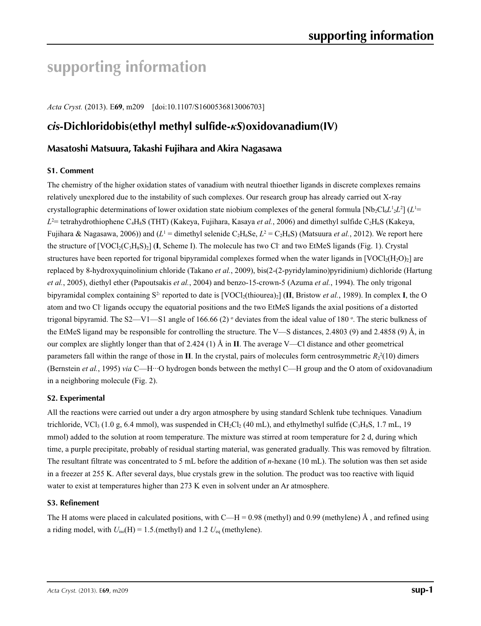# **supporting information**

*Acta Cryst.* (2013). E**69**, m209 [doi:10.1107/S1600536813006703]

# *cis***-Dichloridobis(ethyl methyl sulfide-***κS***)oxidovanadium(IV)**

# **Masatoshi Matsuura, Takashi Fujihara and Akira Nagasawa**

### **S1. Comment**

The chemistry of the higher oxidation states of vanadium with neutral thioether ligands in discrete complexes remains relatively unexplored due to the instability of such complexes. Our research group has already carried out X-ray crystallographic determinations of lower oxidation state niobium complexes of the general formula  $[Nb_2Cl_6L_1L_2L_1^2]$  ( $L^1$  $L^2$  = tetrahydrothiophene C<sub>4</sub>H<sub>8</sub>S (THT) (Kakeya, Fujihara, Kasaya *et al.*, 2006) and dimethyl sulfide C<sub>2</sub>H<sub>6</sub>S (Kakeya, Fujihara & Nagasawa, 2006)) and ( $L^1$  = dimethyl selenide C<sub>2</sub>H<sub>6</sub>Se,  $L^2 = C_2H_6S$ ) (Matsuura *et al.*, 2012). We report here the structure of [VOCl<sub>2</sub>(C<sub>3</sub>H<sub>8</sub>S)<sub>2</sub>] (**I**, Scheme I). The molecule has two Cl and two EtMeS ligands (Fig. 1). Crystal structures have been reported for trigonal bipyramidal complexes formed when the water ligands in  $[VOC1_2(H_2O)_2]$  are replaced by 8-hydroxyquinolinium chloride (Takano *et al.*, 2009), bis(2-(2-pyridylamino)pyridinium) dichloride (Hartung *et al.*, 2005), diethyl ether (Papoutsakis *et al.*, 2004) and benzo-15-crown-5 (Azuma *et al.*, 1994). The only trigonal bipyramidal complex containing  $S^2$  reported to date is  $[VOCl_2(thiourea)]$  (II, Bristow *et al.*, 1989). In complex I, the O atom and two Cl- ligands occupy the equatorial positions and the two EtMeS ligands the axial positions of a distorted trigonal bipyramid. The S2—V1—S1 angle of 166.66 (2)  $\circ$  deviates from the ideal value of 180  $\circ$ . The steric bulkness of the EtMeS ligand may be responsible for controlling the structure. The V—S distances, 2.4803 (9) and 2.4858 (9) Å, in our complex are slightly longer than that of 2.424 (1) Å in **II**. The average V—Cl distance and other geometrical parameters fall within the range of those in **II**. In the crystal, pairs of molecules form centrosymmetric  $R_2^2(10)$  dimers (Bernstein *et al.*, 1995) *via* C—H···O hydrogen bonds between the methyl C—H group and the O atom of oxidovanadium in a neighboring molecule (Fig. 2).

### **S2. Experimental**

All the reactions were carried out under a dry argon atmosphere by using standard Schlenk tube techniques. Vanadium trichloride, VCl<sub>3</sub> (1.0 g, 6.4 mmol), was suspended in CH<sub>2</sub>Cl<sub>2</sub> (40 mL), and ethylmethyl sulfide (C<sub>3</sub>H<sub>8</sub>S, 1.7 mL, 19 mmol) added to the solution at room temperature. The mixture was stirred at room temperature for 2 d, during which time, a purple precipitate, probably of residual starting material, was generated gradually. This was removed by filtration. The resultant filtrate was concentrated to 5 mL before the addition of *n*-hexane (10 mL). The solution was then set aside in a freezer at 255 K. After several days, blue crystals grew in the solution. The product was too reactive with liquid water to exist at temperatures higher than 273 K even in solvent under an Ar atmosphere.

### **S3. Refinement**

The H atoms were placed in calculated positions, with  $C-H = 0.98$  (methyl) and 0.99 (methylene) Å, and refined using a riding model, with  $U_{iso}(H) = 1.5$ . (methyl) and 1.2  $U_{eq}$  (methylene).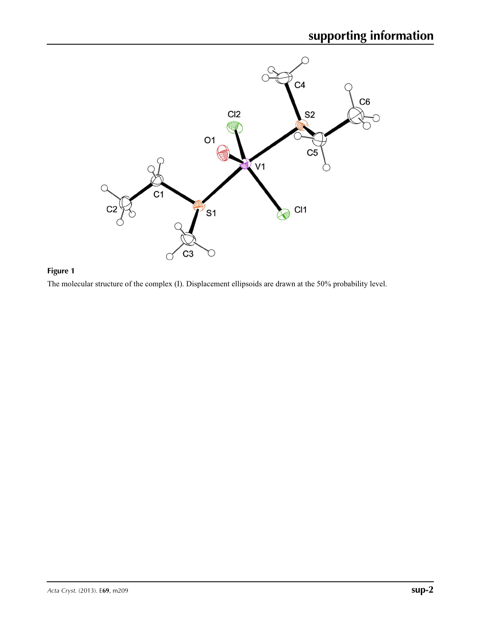

# **Figure 1**

The molecular structure of the complex (I). Displacement ellipsoids are drawn at the 50% probability level.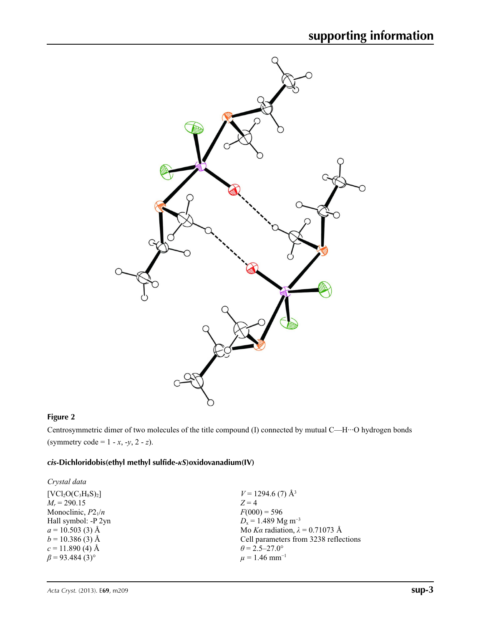

## **Figure 2**

Centrosymmetric dimer of two molecules of the title compound (I) connected by mutual C—H···O hydrogen bonds (symmetry code = 1 - *x*, -*y*, 2 - *z*).

# *cis***-Dichloridobis(ethyl methyl sulfide-***κS***)oxidovanadium(IV)**

| Crystal data                      |                                        |
|-----------------------------------|----------------------------------------|
| $[VCl2O(C3H8S)2]$                 | $V = 1294.6$ (7) Å <sup>3</sup>        |
| $M_r = 290.15$                    | $Z=4$                                  |
| Monoclinic, $P2_1/n$              | $F(000) = 596$                         |
| Hall symbol: -P 2yn               | $D_x = 1.489$ Mg m <sup>-3</sup>       |
| $a = 10.503(3)$ Å                 | Mo Ka radiation, $\lambda = 0.71073$ Å |
| $b = 10.386(3)$ Å                 | Cell parameters from 3238 reflections  |
| $c = 11.890$ (4) Å                | $\theta$ = 2.5–27.0°                   |
| $\beta$ = 93.484 (3) <sup>o</sup> | $\mu = 1.46$ mm <sup>-1</sup>          |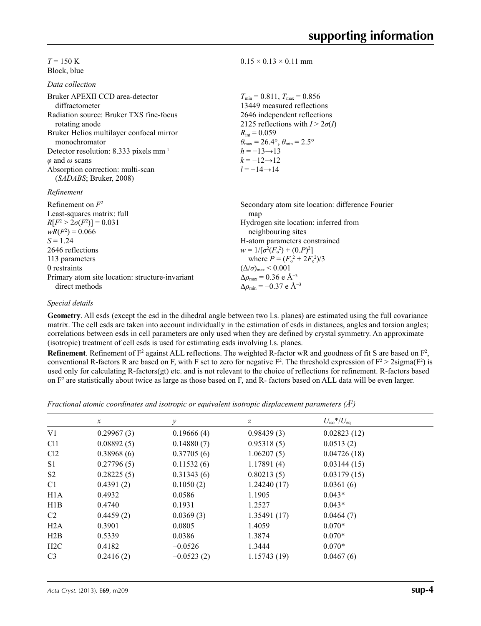$T = 150$  K Block, blue

*Data collection*

| Bruker APEXII CCD area-detector                    | $T_{\min} = 0.811$ , $T_{\max} = 0.856$               |
|----------------------------------------------------|-------------------------------------------------------|
| diffractometer                                     | 13449 measured reflections                            |
| Radiation source: Bruker TXS fine-focus            | 2646 independent reflections                          |
| rotating anode                                     | 2125 reflections with $I > 2\sigma(I)$                |
| Bruker Helios multilayer confocal mirror           | $R_{\text{int}} = 0.059$                              |
| monochromator                                      | $\theta_{\rm max}$ = 26.4°, $\theta_{\rm min}$ = 2.5° |
| Detector resolution: 8.333 pixels mm <sup>-1</sup> | $h = -13 \rightarrow 13$                              |
| $\varphi$ and $\omega$ scans                       | $k = -12 \rightarrow 12$                              |
| Absorption correction: multi-scan                  | $l = -14 \rightarrow 14$                              |
| (SADABS; Bruker, 2008)<br>Refinement               |                                                       |
| Refinement on $F^2$                                | Secondary atom site location: difference F            |
| Least-squares matrix: full                         | map                                                   |

 $0.15 \times 0.13 \times 0.11$  mm

| Refinement on $F^2$                             | Secondary atom site location: difference Fourier   |
|-------------------------------------------------|----------------------------------------------------|
| Least-squares matrix: full                      | map                                                |
| $R[F^2 > 2\sigma(F^2)] = 0.031$                 | Hydrogen site location: inferred from              |
| $wR(F^2) = 0.066$                               | neighbouring sites                                 |
| $S = 1.24$                                      | H-atom parameters constrained                      |
| 2646 reflections                                | $w = 1/[\sigma^2(F_0^2) + (0.P)^2]$                |
| 113 parameters                                  | where $P = (F_o^2 + 2F_c^2)/3$                     |
| 0 restraints                                    | $(\Delta/\sigma)_{\text{max}}$ < 0.001             |
| Primary atom site location: structure-invariant | $\Delta \rho_{\text{max}} = 0.36 \text{ e A}^{-3}$ |
| direct methods                                  | $\Delta\rho_{\rm min} = -0.37 \text{ e A}^{-3}$    |

### *Special details*

**Geometry**. All esds (except the esd in the dihedral angle between two l.s. planes) are estimated using the full covariance matrix. The cell esds are taken into account individually in the estimation of esds in distances, angles and torsion angles; correlations between esds in cell parameters are only used when they are defined by crystal symmetry. An approximate (isotropic) treatment of cell esds is used for estimating esds involving l.s. planes.

**Refinement**. Refinement of  $F^2$  against ALL reflections. The weighted R-factor wR and goodness of fit S are based on  $F^2$ , conventional R-factors R are based on F, with F set to zero for negative  $F^2$ . The threshold expression of  $F^2 > 2 \text{sigma}(F^2)$  is used only for calculating R-factors(gt) etc. and is not relevant to the choice of reflections for refinement. R-factors based on  $F<sup>2</sup>$  are statistically about twice as large as those based on F, and R- factors based on ALL data will be even larger.

*Fractional atomic coordinates and isotropic or equivalent isotropic displacement parameters (Å<sup>2</sup>)* 

|                  | $\mathcal{X}$ | $\mathcal{Y}$ | z           | $U_{\rm iso}*/U_{\rm eq}$ |  |
|------------------|---------------|---------------|-------------|---------------------------|--|
| V1               | 0.29967(3)    | 0.19666(4)    | 0.98439(3)  | 0.02823(12)               |  |
| C <sub>11</sub>  | 0.08892(5)    | 0.14880(7)    | 0.95318(5)  | 0.0513(2)                 |  |
| Cl <sub>2</sub>  | 0.38968(6)    | 0.37705(6)    | 1.06207(5)  | 0.04726(18)               |  |
| S <sub>1</sub>   | 0.27796(5)    | 0.11532(6)    | 1.17891(4)  | 0.03144(15)               |  |
| S <sub>2</sub>   | 0.28225(5)    | 0.31343(6)    | 0.80213(5)  | 0.03179(15)               |  |
| C1               | 0.4391(2)     | 0.1050(2)     | 1.24240(17) | 0.0361(6)                 |  |
| H <sub>1</sub> A | 0.4932        | 0.0586        | 1.1905      | $0.043*$                  |  |
| H1B              | 0.4740        | 0.1931        | 1.2527      | $0.043*$                  |  |
| C2               | 0.4459(2)     | 0.0369(3)     | 1.35491(17) | 0.0464(7)                 |  |
| H2A              | 0.3901        | 0.0805        | 1.4059      | $0.070*$                  |  |
| H2B              | 0.5339        | 0.0386        | 1.3874      | $0.070*$                  |  |
| H2C              | 0.4182        | $-0.0526$     | 1.3444      | $0.070*$                  |  |
| C <sub>3</sub>   | 0.2416(2)     | $-0.0523(2)$  | 1.15743(19) | 0.0467(6)                 |  |
|                  |               |               |             |                           |  |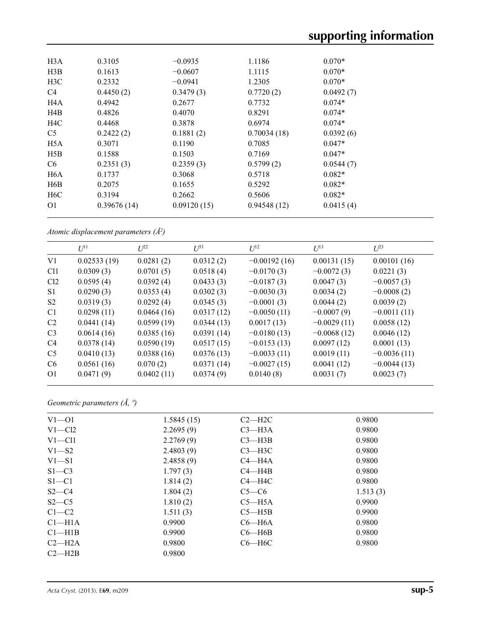| H3A              | 0.3105      | $-0.0935$   | 1.1186      | $0.070*$  |
|------------------|-------------|-------------|-------------|-----------|
| H3B              | 0.1613      | $-0.0607$   | 1.1115      | $0.070*$  |
| H <sub>3</sub> C | 0.2332      | $-0.0941$   | 1.2305      | $0.070*$  |
| C4               | 0.4450(2)   | 0.3479(3)   | 0.7720(2)   | 0.0492(7) |
| H4A              | 0.4942      | 0.2677      | 0.7732      | $0.074*$  |
| H <sub>4</sub> B | 0.4826      | 0.4070      | 0.8291      | $0.074*$  |
| H <sub>4</sub> C | 0.4468      | 0.3878      | 0.6974      | $0.074*$  |
| C <sub>5</sub>   | 0.2422(2)   | 0.1881(2)   | 0.70034(18) | 0.0392(6) |
| H <sub>5</sub> A | 0.3071      | 0.1190      | 0.7085      | $0.047*$  |
| H5B              | 0.1588      | 0.1503      | 0.7169      | $0.047*$  |
| C <sub>6</sub>   | 0.2351(3)   | 0.2359(3)   | 0.5799(2)   | 0.0544(7) |
| H <sub>6</sub> A | 0.1737      | 0.3068      | 0.5718      | $0.082*$  |
| H6B              | 0.2075      | 0.1655      | 0.5292      | $0.082*$  |
| H <sub>6</sub> C | 0.3194      | 0.2662      | 0.5606      | $0.082*$  |
| O <sub>1</sub>   | 0.39676(14) | 0.09120(15) | 0.94548(12) | 0.0415(4) |
|                  |             |             |             |           |

*Atomic displacement parameters (Å2 )*

|                 | $U^{11}$    | $U^{22}$   | $U^{33}$   | $U^{12}$       | $U^{13}$      | $U^{23}$      |
|-----------------|-------------|------------|------------|----------------|---------------|---------------|
| V1              | 0.02533(19) | 0.0281(2)  | 0.0312(2)  | $-0.00192(16)$ | 0.00131(15)   | 0.00101(16)   |
| C <sub>11</sub> | 0.0309(3)   | 0.0701(5)  | 0.0518(4)  | $-0.0170(3)$   | $-0.0072(3)$  | 0.0221(3)     |
| Cl <sub>2</sub> | 0.0595(4)   | 0.0392(4)  | 0.0433(3)  | $-0.0187(3)$   | 0.0047(3)     | $-0.0057(3)$  |
| S <sub>1</sub>  | 0.0290(3)   | 0.0353(4)  | 0.0302(3)  | $-0.0030(3)$   | 0.0034(2)     | $-0.0008(2)$  |
| S <sub>2</sub>  | 0.0319(3)   | 0.0292(4)  | 0.0345(3)  | $-0.0001(3)$   | 0.0044(2)     | 0.0039(2)     |
| C <sub>1</sub>  | 0.0298(11)  | 0.0464(16) | 0.0317(12) | $-0.0050(11)$  | $-0.0007(9)$  | $-0.0011(11)$ |
| C <sub>2</sub>  | 0.0441(14)  | 0.0599(19) | 0.0344(13) | 0.0017(13)     | $-0.0029(11)$ | 0.0058(12)    |
| C <sub>3</sub>  | 0.0614(16)  | 0.0385(16) | 0.0391(14) | $-0.0180(13)$  | $-0.0068(12)$ | 0.0046(12)    |
| C <sub>4</sub>  | 0.0378(14)  | 0.0590(19) | 0.0517(15) | $-0.0153(13)$  | 0.0097(12)    | 0.0001(13)    |
| C <sub>5</sub>  | 0.0410(13)  | 0.0388(16) | 0.0376(13) | $-0.0033(11)$  | 0.0019(11)    | $-0.0036(11)$ |
| C <sub>6</sub>  | 0.0561(16)  | 0.070(2)   | 0.0371(14) | $-0.0027(15)$  | 0.0041(12)    | $-0.0044(13)$ |
| O <sub>1</sub>  | 0.0471(9)   | 0.0402(11) | 0.0374(9)  | 0.0140(8)      | 0.0031(7)     | 0.0023(7)     |

*Geometric parameters (Å, º)*

| $V1 - 01$          | 1.5845(15) | $C2 - H2C$ | 0.9800   |
|--------------------|------------|------------|----------|
| $V1 - C12$         | 2.2695(9)  | $C3 - H3A$ | 0.9800   |
| $V1 - C11$         | 2.2769(9)  | $C3 - H3B$ | 0.9800   |
| $V1 - S2$          | 2.4803(9)  | $C3 - H3C$ | 0.9800   |
| $V1-S1$            | 2.4858(9)  | $C4 - H4A$ | 0.9800   |
| $S1 - C3$          | 1.797(3)   | $C4 - H4B$ | 0.9800   |
| $S1 - C1$          | 1.814(2)   | $C4 - H4C$ | 0.9800   |
| $S2-C4$            | 1.804(2)   | $C5-C6$    | 1.513(3) |
| $S2-C5$            | 1.810(2)   | $C5 - H5A$ | 0.9900   |
| $C1-C2$            | 1.511(3)   | $C5 - H5B$ | 0.9900   |
| Cl <sub>–H1A</sub> | 0.9900     | $C6 - H6A$ | 0.9800   |
| $Cl$ —H1B          | 0.9900     | $C6 - H6B$ | 0.9800   |
| $C2-H2A$           | 0.9800     | $C6 - H6C$ | 0.9800   |
| $C2 - H2B$         | 0.9800     |            |          |